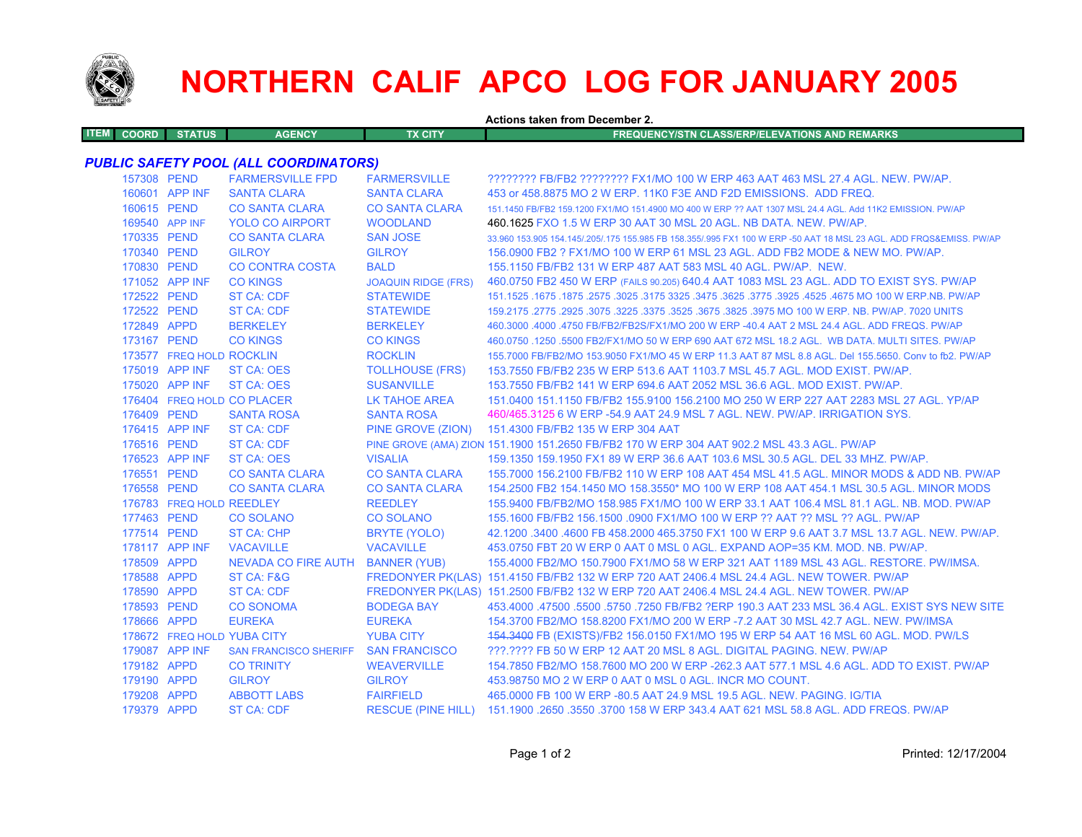

## **NORTHERN CALIF APCO LOG FOR JANUARY 2005**

**Actions taken from December 2.ITEM COORD STATUS AGENCY TX CITY FREQUENCY/STN CLASS/ERP/ELEVATIONS AND REMARKS***PUBLIC SAFETY POOL (ALL COORDINATORS)* 157308 PEND FARMERSVILLE FPD FARMERSVILLE ???????? FB/FB2 ???????? FX1/MO 100 W ERP 463 AAT 463 MSL 27.4 AGL. NEW. PW/AP. 160601 APP INF SANTA CLARA SANTA CLARA 453 or 458.8875 MO 2 W ERP. 11K0 F3E AND F2D EMISSIONS. ADD FREQ. 160615 PEND CO SANTA CLARA CO SANTA CLARA 151.1450 FB/FB2 159.1200 FX1/MO 151.4900 MO 400 W ERP ?? AAT 1307 MSL 24.4 AGL. Add 11K2 EMISSION. PW/AP 169540 APP INFYOLO CO AIRPORT WOODLAND 460.1625 FXO 1.5 W ERP 30 AAT 30 MSL 20 AGL. NB DATA. NEW. PW/AP. 170335 PEND CO SANTA CLARA SAN JOSE 33.960 153.905 154.145/.205/.175 155.985 FB 158.355/.995 FX1 100 W ERP -50 AAT 18 MSL 23 AGL. ADD FRQS&EMISS. PW/AP 170340 PEND GILROY GILROY 156.0900 FB2 ? FX1/MO 100 W ERP 61 MSL 23 AGL. ADD FB2 MODE & NEW MO. PW/AP.170830 PEND CO CONTRA COSTA BALD 155.1150 FB/FB2 131 W ERP 487 AAT 583 MSL 40 AGL. PW/AP. NEW.171052 APP INF CO KINGS JOAQUIN RIDGE (FRS) 460.0750 FB2 450 W ERP (FAILS 90.205) 640.4 AAT 1083 MSL 23 AGL. ADD TO EXIST SYS. PW/AP 172522 PEND ST CA: CDF STATEWIDE 151.1525 .1675 .1875 .2575 .3025 .3175 3325 .3475 .3625 .3775 .3925 .4525 .4675 MO 100 W ERP.NB. PW/AP 172522 PEND ST CA: CDF STATEWIDE 159.2175 .2775 .2925 .3075 .3225 .3375 .3525 .3675 .3825 .3975 MO 100 W ERP. NB. PW/AP. 7020 UNITS 172849 APPD BERKELEY BERKELEY 460.3000 .4000 .4750 FB/FB2/FB2S/FX1/MO 200 W ERP -40.4 AAT 2 MSL 24.4 AGL. ADD FREQS. PW/AP173167 PEND CO KINGS CO KINGS 460.0750 .1250 .5500 FB2/FX1/MO 50 W ERP 690 AAT 672 MSL 18.2 AGL. WB DATA. MULTI SITES. PW/AP 173577 FREQ HOLD ROCKLIN ROCKLIN 155.7000 FB/FB2/MO 153.9050 FX1/MO 45 W ERP 11.3 AAT 87 MSL 8.8 AGL. Del 155.5650. Conv to fb2. PW/AP 175019 APP INF ST CA: OES TOLLHOUSE (FRS) 153.7550 FB/FB2 235 W ERP 513.6 AAT 1103.7 MSL 45.7 AGL. MOD EXIST. PW/AP. 175020 APP INF ST CA: OES SUSANVILLE 153.7550 FB/FB2 141 W ERP 694.6 AAT 2052 MSL 36.6 AGL. MOD EXIST. PW/AP. 176404 FREQ HOLDLK TAHOE AREA 151.0400 151.1150 FB/FB2 155.9100 156.2100 MO 250 W ERP 227 AAT 2283 MSL 27 AGL. YP/AP 176409 PEND SANTA ROSA SANTA ROSA 460/465.3125 6 W ERP -54.9 AAT 24.9 MSL 7 AGL. NEW. PW/AP. IRRIGATION SYS. 176415 APP INF ST CA: CDF PINE GROVE (ZION) 151.4300 FB/FB2 135 W ERP 304 AAT 176516 PEND ST CA: CDF PINE GROVE (AMA) ZION 151.1900 151.2650 FB/FB2 170 W ERP 304 AAT 902.2 MSL 43.3 AGL. PW/AP 176523 APP INF ST CA: OES VISALIA 159.1350 159.1950 FX1 89 W ERP 36.6 AAT 103.6 MSL 30.5 AGL. DEL 33 MHZ. PW/AP.176551 PEND CO SANTA CLARA CO SANTA CLARA 155.7000 156.2100 FB/FB2 110 W ERP 108 AAT 454 MSL 41.5 AGL. MINOR MODS & ADD NB. PW/AP 176558 PEND CO SANTA CLARA CO SANTA CLARA 154.2500 FB2 154.1450 MO 158.3550\* MO 100 W ERP 108 AAT 454.1 MSL 30.5 AGL. MINOR MODS176783 FREQ HOLD REEDLEY REEDLEY 155.9400 FB/FB2/MO 158.985 FX1/MO 100 W ERP 33.1 AAT 106.4 MSL 81.1 AGL. NB. MOD. PW/AP 177463 PEND CO SOLANO CO SOLANO 155.1600 FB/FB2 156.1500 .0900 FX1/MO 100 W ERP ?? AAT ?? MSL ?? AGL. PW/AP177514 PEND ST CA: CHP BRYTE (YOLO) 42.1200 .3400 .4600 FB 458.2000 465.3750 FX1 100 W ERP 9.6 AAT 3.7 MSL 13.7 AGL. NEW. PW/AP. 178117 APP INF VACAVILLE VACAVILLE 453.0750 FBT 20 W ERP 0 AAT 0 MSL 0 AGL. EXPAND AOP=35 KM. MOD. NB. PW/AP.178509 APPD NEVADA CO FIRE AUTH BANNER (YUB) 155.4000 FB2/MO 150.7900 FX1/MO 58 W ERP 321 AAT 1189 MSL 43 AGL. RESTORE. PW/IMSA. 178588 APPD ST CA: F&G FREDONYER PK(LAS) 151.4150 FB/FB2 132 W ERP 720 AAT 2406.4 MSL 24.4 AGL. NEW TOWER. PW/AP 178590 APPD ST CA: CDF FREDONYER PK(LAS) 151.2500 FB/FB2 132 W ERP 720 AAT 2406.4 MSL 24.4 AGL. NEW TOWER. PW/AP 178593 PEND CO SONOMA BODEGA BAY 453.4000 .47500 .5500 .5750 .7250 FB/FB2 ?ERP 190.3 AAT 233 MSL 36.4 AGL. EXIST SYS NEW SITE178666 APPD EUREKA EUREKA EUREKA 154.3700 FB2/MO 158.8200 FX1/MO 200 W ERP -7.2 AAT 30 MSL 42.7 AGL. NEW. PW/IMSA 178672 FREQ HOLDYUBA CITY 454.3400 FB (EXISTS)/FB2 156.0150 FX1/MO 195 W ERP 54 AAT 16 MSL 60 AGL. MOD. PW/LS 179087 APP INF SAN FRANCISCO SHERIFF SAN FRANCISCO ???.???? FB 50 W ERP 12 AAT 20 MSL 8 AGL. DIGITAL PAGING. NEW. PW/AP179182 APPD CO TRINITY WEAVERVILLE 154.7850 FB2/MO 158.7600 MO 200 W ERP -262.3 AAT 577.1 MSL 4.6 AGL. ADD TO EXIST. PW/AP179190 APPD GILROY GILROY 453.98750 MO 2 W ERP 0 AAT 0 MSL 0 AGL. INCR MO COUNT.179208 APPD ABBOTT LABS FAIRFIELD 465.0000 FB 100 W ERP -80.5 AAT 24.9 MSL 19.5 AGL. NEW. PAGING. IG/TIA179379 APPD ST CA: CDF RESCUE (PINE HILL) 151.1900 .2650 .3550 .3700 158 W ERP 343.4 AAT 621 MSL 58.8 AGL. ADD FREQS. PW/AP